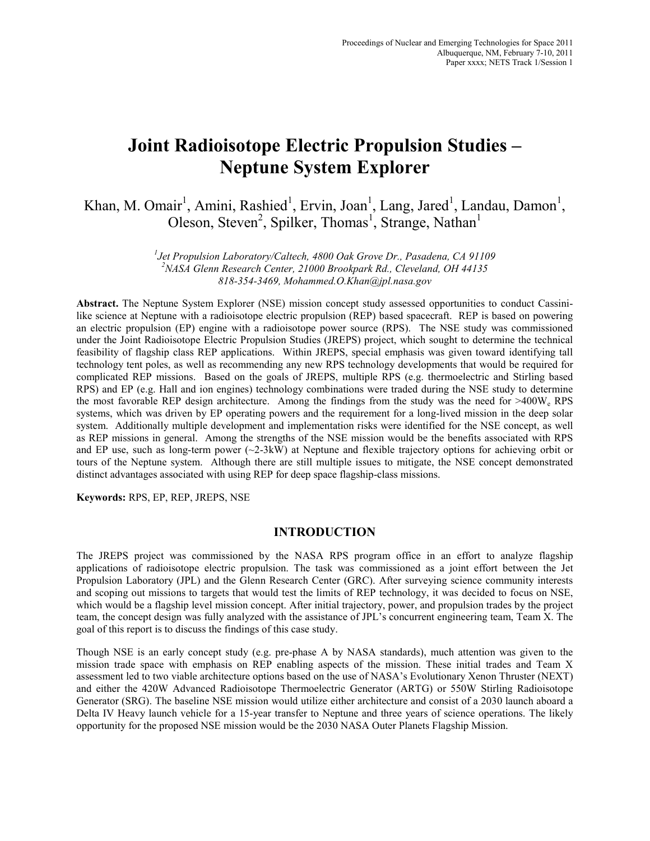# **Joint Radioisotope Electric Propulsion Studies – Neptune System Explorer**

Khan, M. Omair<sup>1</sup>, Amini, Rashied<sup>1</sup>, Ervin, Joan<sup>1</sup>, Lang, Jared<sup>1</sup>, Landau, Damon<sup>1</sup>, Oleson, Steven<sup>2</sup>, Spilker, Thomas<sup>1</sup>, Strange, Nathan<sup>1</sup>

> *1 Jet Propulsion Laboratory/Caltech, 4800 Oak Grove Dr., Pasadena, CA 91109 2 NASA Glenn Research Center, 21000 Brookpark Rd., Cleveland, OH 44135 818-354-3469, Mohammed.O.Khan@jpl.nasa.gov*

**Abstract.** The Neptune System Explorer (NSE) mission concept study assessed opportunities to conduct Cassinilike science at Neptune with a radioisotope electric propulsion (REP) based spacecraft. REP is based on powering an electric propulsion (EP) engine with a radioisotope power source (RPS). The NSE study was commissioned under the Joint Radioisotope Electric Propulsion Studies (JREPS) project, which sought to determine the technical feasibility of flagship class REP applications. Within JREPS, special emphasis was given toward identifying tall technology tent poles, as well as recommending any new RPS technology developments that would be required for complicated REP missions. Based on the goals of JREPS, multiple RPS (e.g. thermoelectric and Stirling based RPS) and EP (e.g. Hall and ion engines) technology combinations were traded during the NSE study to determine the most favorable REP design architecture. Among the findings from the study was the need for >400We RPS systems, which was driven by EP operating powers and the requirement for a long-lived mission in the deep solar system. Additionally multiple development and implementation risks were identified for the NSE concept, as well as REP missions in general. Among the strengths of the NSE mission would be the benefits associated with RPS and EP use, such as long-term power (~2-3kW) at Neptune and flexible trajectory options for achieving orbit or tours of the Neptune system. Although there are still multiple issues to mitigate, the NSE concept demonstrated distinct advantages associated with using REP for deep space flagship-class missions.

**Keywords:** RPS, EP, REP, JREPS, NSE

## **INTRODUCTION**

The JREPS project was commissioned by the NASA RPS program office in an effort to analyze flagship applications of radioisotope electric propulsion. The task was commissioned as a joint effort between the Jet Propulsion Laboratory (JPL) and the Glenn Research Center (GRC). After surveying science community interests and scoping out missions to targets that would test the limits of REP technology, it was decided to focus on NSE, which would be a flagship level mission concept. After initial trajectory, power, and propulsion trades by the project team, the concept design was fully analyzed with the assistance of JPL's concurrent engineering team, Team X. The goal of this report is to discuss the findings of this case study.

Though NSE is an early concept study (e.g. pre-phase A by NASA standards), much attention was given to the mission trade space with emphasis on REP enabling aspects of the mission. These initial trades and Team X assessment led to two viable architecture options based on the use of NASA's Evolutionary Xenon Thruster (NEXT) and either the 420W Advanced Radioisotope Thermoelectric Generator (ARTG) or 550W Stirling Radioisotope Generator (SRG). The baseline NSE mission would utilize either architecture and consist of a 2030 launch aboard a Delta IV Heavy launch vehicle for a 15-year transfer to Neptune and three years of science operations. The likely opportunity for the proposed NSE mission would be the 2030 NASA Outer Planets Flagship Mission.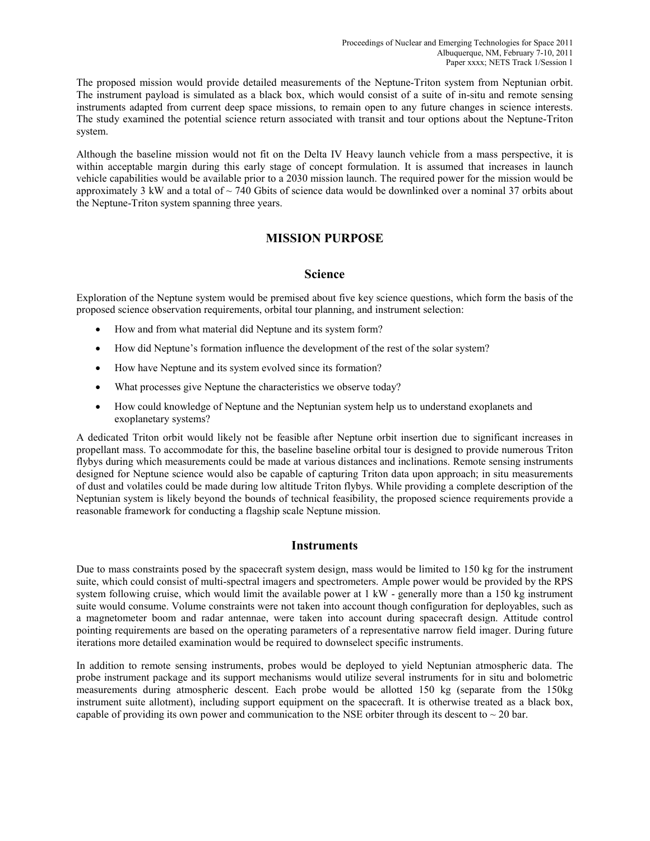The proposed mission would provide detailed measurements of the Neptune-Triton system from Neptunian orbit. The instrument payload is simulated as a black box, which would consist of a suite of in-situ and remote sensing instruments adapted from current deep space missions, to remain open to any future changes in science interests. The study examined the potential science return associated with transit and tour options about the Neptune-Triton system.

Although the baseline mission would not fit on the Delta IV Heavy launch vehicle from a mass perspective, it is within acceptable margin during this early stage of concept formulation. It is assumed that increases in launch vehicle capabilities would be available prior to a 2030 mission launch. The required power for the mission would be approximately 3 kW and a total of  $\sim$  740 Gbits of science data would be downlinked over a nominal 37 orbits about the Neptune-Triton system spanning three years.

# **MISSION PURPOSE**

## **Science**

Exploration of the Neptune system would be premised about five key science questions, which form the basis of the proposed science observation requirements, orbital tour planning, and instrument selection:

- How and from what material did Neptune and its system form?
- How did Neptune's formation influence the development of the rest of the solar system?
- How have Neptune and its system evolved since its formation?
- What processes give Neptune the characteristics we observe today?
- How could knowledge of Neptune and the Neptunian system help us to understand exoplanets and exoplanetary systems?

A dedicated Triton orbit would likely not be feasible after Neptune orbit insertion due to significant increases in propellant mass. To accommodate for this, the baseline baseline orbital tour is designed to provide numerous Triton flybys during which measurements could be made at various distances and inclinations. Remote sensing instruments designed for Neptune science would also be capable of capturing Triton data upon approach; in situ measurements of dust and volatiles could be made during low altitude Triton flybys. While providing a complete description of the Neptunian system is likely beyond the bounds of technical feasibility, the proposed science requirements provide a reasonable framework for conducting a flagship scale Neptune mission.

## **Instruments**

Due to mass constraints posed by the spacecraft system design, mass would be limited to 150 kg for the instrument suite, which could consist of multi-spectral imagers and spectrometers. Ample power would be provided by the RPS system following cruise, which would limit the available power at 1 kW - generally more than a 150 kg instrument suite would consume. Volume constraints were not taken into account though configuration for deployables, such as a magnetometer boom and radar antennae, were taken into account during spacecraft design. Attitude control pointing requirements are based on the operating parameters of a representative narrow field imager. During future iterations more detailed examination would be required to downselect specific instruments.

In addition to remote sensing instruments, probes would be deployed to yield Neptunian atmospheric data. The probe instrument package and its support mechanisms would utilize several instruments for in situ and bolometric measurements during atmospheric descent. Each probe would be allotted 150 kg (separate from the 150kg instrument suite allotment), including support equipment on the spacecraft. It is otherwise treated as a black box, capable of providing its own power and communication to the NSE orbiter through its descent to  $\sim$  20 bar.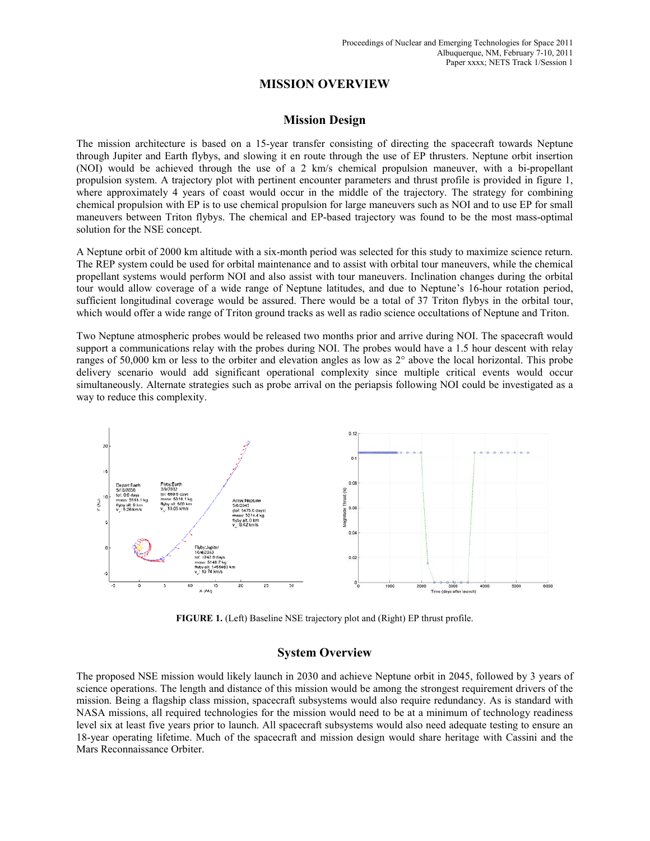# **MISSION OVERVIEW**

## **Mission Design**

The mission architecture is based on a 15-year transfer consisting of directing the spacecraft towards Neptune through Jupiter and Earth flybys, and slowing it en route through the use of EP thrusters. Neptune orbit insertion (NOI) would be achieved through the use of a 2 km/s chemical propulsion maneuver, with a bi-propellant propulsion system. A trajectory plot with pertinent encounter parameters and thrust profile is provided in figure 1, where approximately 4 years of coast would occur in the middle of the trajectory. The strategy for combining chemical propulsion with EP is to use chemical propulsion for large maneuvers such as NOI and to use EP for small maneuvers between Triton flybys. The chemical and EP-based trajectory was found to be the most mass-optimal solution for the NSE concept.

A Neptune orbit of 2000 km altitude with a six-month period was selected for this study to maximize science return. The REP system could be used for orbital maintenance and to assist with orbital tour maneuvers, while the chemical propellant systems would perform NOI and also assist with tour maneuvers. Inclination changes during the orbital tour would allow coverage of a wide range of Neptune latitudes, and due to Neptune's 16-hour rotation period, sufficient longitudinal coverage would be assured. There would be a total of 37 Triton flybys in the orbital tour, which would offer a wide range of Triton ground tracks as well as radio science occultations of Neptune and Triton.

Two Neptune atmospheric probes would be released two months prior and arrive during NOI. The spacecraft would support a communications relay with the probes during NOI. The probes would have a 1.5 hour descent with relay ranges of 50,000 km or less to the orbiter and elevation angles as low as 2° above the local horizontal. This probe delivery scenario would add significant operational complexity since multiple critical events would occur simultaneously. Alternate strategies such as probe arrival on the periapsis following NOI could be investigated as a way to reduce this complexity.



**FIGURE 1.** (Left) Baseline NSE trajectory plot and (Right) EP thrust profile.

## **System Overview**

The proposed NSE mission would likely launch in 2030 and achieve Neptune orbit in 2045, followed by 3 years of science operations. The length and distance of this mission would be among the strongest requirement drivers of the mission. Being a flagship class mission, spacecraft subsystems would also require redundancy. As is standard with NASA missions, all required technologies for the mission would need to be at a minimum of technology readiness level six at least five years prior to launch. All spacecraft subsystems would also need adequate testing to ensure an 18-year operating lifetime. Much of the spacecraft and mission design would share heritage with Cassini and the Mars Reconnaissance Orbiter.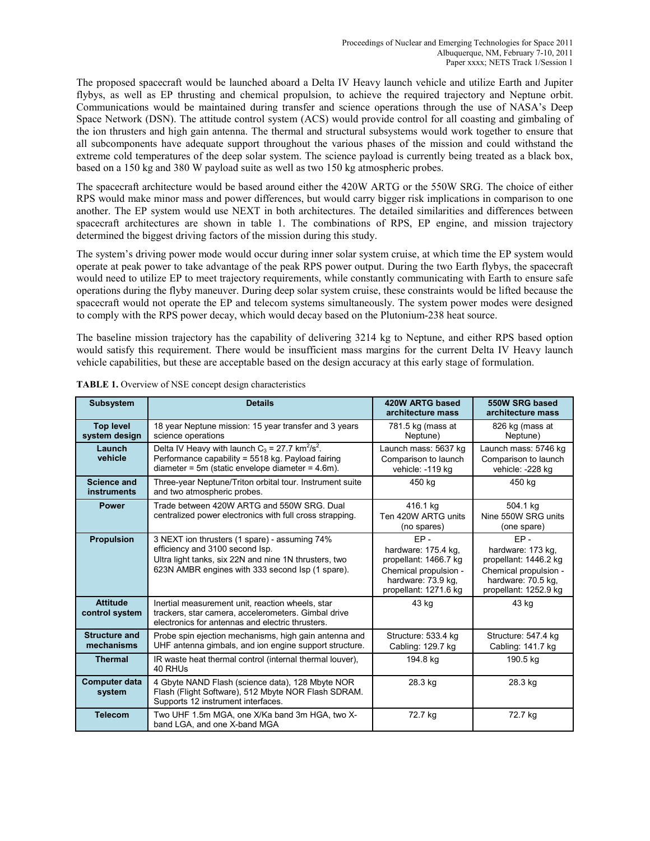The proposed spacecraft would be launched aboard a Delta IV Heavy launch vehicle and utilize Earth and Jupiter flybys, as well as EP thrusting and chemical propulsion, to achieve the required trajectory and Neptune orbit. Communications would be maintained during transfer and science operations through the use of NASA's Deep Space Network (DSN). The attitude control system (ACS) would provide control for all coasting and gimbaling of the ion thrusters and high gain antenna. The thermal and structural subsystems would work together to ensure that all subcomponents have adequate support throughout the various phases of the mission and could withstand the extreme cold temperatures of the deep solar system. The science payload is currently being treated as a black box, based on a 150 kg and 380 W payload suite as well as two 150 kg atmospheric probes.

The spacecraft architecture would be based around either the 420W ARTG or the 550W SRG. The choice of either RPS would make minor mass and power differences, but would carry bigger risk implications in comparison to one another. The EP system would use NEXT in both architectures. The detailed similarities and differences between spacecraft architectures are shown in table 1. The combinations of RPS, EP engine, and mission trajectory determined the biggest driving factors of the mission during this study.

The system's driving power mode would occur during inner solar system cruise, at which time the EP system would operate at peak power to take advantage of the peak RPS power output. During the two Earth flybys, the spacecraft would need to utilize EP to meet trajectory requirements, while constantly communicating with Earth to ensure safe operations during the flyby maneuver. During deep solar system cruise, these constraints would be lifted because the spacecraft would not operate the EP and telecom systems simultaneously. The system power modes were designed to comply with the RPS power decay, which would decay based on the Plutonium-238 heat source.

The baseline mission trajectory has the capability of delivering 3214 kg to Neptune, and either RPS based option would satisfy this requirement. There would be insufficient mass margins for the current Delta IV Heavy launch vehicle capabilities, but these are acceptable based on the design accuracy at this early stage of formulation.

| <b>Subsystem</b>                         | <b>Details</b>                                                                                                                                                                                | 420W ARTG based<br>architecture mass                                                                                           | 550W SRG based<br>architecture mass                                                                                          |
|------------------------------------------|-----------------------------------------------------------------------------------------------------------------------------------------------------------------------------------------------|--------------------------------------------------------------------------------------------------------------------------------|------------------------------------------------------------------------------------------------------------------------------|
| <b>Top level</b><br>system design        | 18 year Neptune mission: 15 year transfer and 3 years<br>science operations                                                                                                                   | 781.5 kg (mass at<br>Neptune)                                                                                                  | 826 kg (mass at<br>Neptune)                                                                                                  |
| Launch<br>vehicle                        | Delta IV Heavy with launch $C_3 = 27.7$ km <sup>2</sup> /s <sup>2</sup> .<br>Performance capability = 5518 kg. Payload fairing<br>diameter = 5m (static envelope diameter = $4.6m$ ).         | Launch mass: 5637 kg<br>Comparison to launch<br>vehicle: -119 kg                                                               | Launch mass: 5746 kg<br>Comparison to launch<br>vehicle: -228 kg                                                             |
| <b>Science and</b><br><b>instruments</b> | Three-year Neptune/Triton orbital tour. Instrument suite<br>and two atmospheric probes.                                                                                                       | 450 kg                                                                                                                         | 450 kg                                                                                                                       |
| <b>Power</b>                             | Trade between 420W ARTG and 550W SRG. Dual<br>centralized power electronics with full cross strapping.                                                                                        | 416.1 kg<br>Ten 420W ARTG units<br>(no spares)                                                                                 | 504.1 kg<br>Nine 550W SRG units<br>(one spare)                                                                               |
| <b>Propulsion</b>                        | 3 NEXT ion thrusters (1 spare) - assuming 74%<br>efficiency and 3100 second lsp.<br>Ultra light tanks, six 22N and nine 1N thrusters, two<br>623N AMBR engines with 333 second Isp (1 spare). | $FP -$<br>hardware: 175.4 kg,<br>propellant: 1466.7 kg<br>Chemical propulsion -<br>hardware: 73.9 kg,<br>propellant: 1271.6 kg | $FP -$<br>hardware: 173 kg,<br>propellant: 1446.2 kg<br>Chemical propulsion -<br>hardware: 70.5 kg,<br>propellant: 1252.9 kg |
| <b>Attitude</b><br>control system        | Inertial measurement unit, reaction wheels, star<br>trackers, star camera, accelerometers. Gimbal drive<br>electronics for antennas and electric thrusters.                                   | 43 kg                                                                                                                          | 43 kg                                                                                                                        |
| <b>Structure and</b><br>mechanisms       | Probe spin ejection mechanisms, high gain antenna and<br>UHF antenna gimbals, and ion engine support structure.                                                                               | Structure: 533.4 kg<br>Cabling: 129.7 kg                                                                                       | Structure: 547.4 kg<br>Cabling: 141.7 kg                                                                                     |
| <b>Thermal</b>                           | IR waste heat thermal control (internal thermal louver).<br>40 RHUs                                                                                                                           | 194.8 kg                                                                                                                       | 190.5 kg                                                                                                                     |
| <b>Computer data</b><br>system           | 4 Gbyte NAND Flash (science data), 128 Mbyte NOR<br>Flash (Flight Software), 512 Mbyte NOR Flash SDRAM.<br>Supports 12 instrument interfaces.                                                 | 28.3 kg                                                                                                                        | 28.3 kg                                                                                                                      |
| <b>Telecom</b>                           | Two UHF 1.5m MGA, one X/Ka band 3m HGA, two X-<br>band LGA, and one X-band MGA                                                                                                                | 72.7 kg                                                                                                                        | 72.7 kg                                                                                                                      |

**TABLE 1.** Overview of NSE concept design characteristics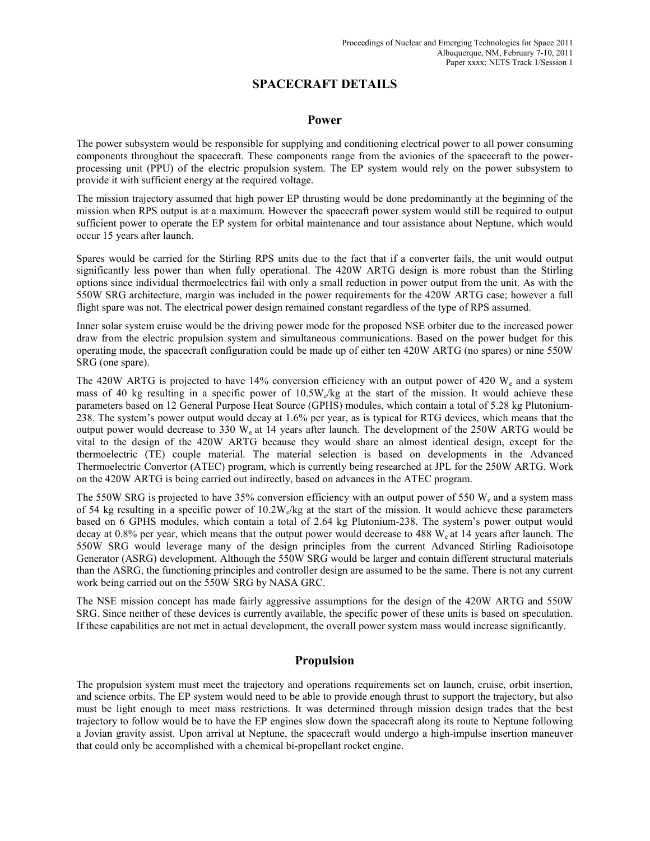# **SPACECRAFT DETAILS**

#### **Power**

The power subsystem would be responsible for supplying and conditioning electrical power to all power consuming components throughout the spacecraft. These components range from the avionics of the spacecraft to the powerprocessing unit (PPU) of the electric propulsion system. The EP system would rely on the power subsystem to provide it with sufficient energy at the required voltage.

The mission trajectory assumed that high power EP thrusting would be done predominantly at the beginning of the mission when RPS output is at a maximum. However the spacecraft power system would still be required to output sufficient power to operate the EP system for orbital maintenance and tour assistance about Neptune, which would occur 15 years after launch.

Spares would be carried for the Stirling RPS units due to the fact that if a converter fails, the unit would output significantly less power than when fully operational. The 420W ARTG design is more robust than the Stirling options since individual thermoelectrics fail with only a small reduction in power output from the unit. As with the 550W SRG architecture, margin was included in the power requirements for the 420W ARTG case; however a full flight spare was not. The electrical power design remained constant regardless of the type of RPS assumed.

Inner solar system cruise would be the driving power mode for the proposed NSE orbiter due to the increased power draw from the electric propulsion system and simultaneous communications. Based on the power budget for this operating mode, the spacecraft configuration could be made up of either ten 420W ARTG (no spares) or nine 550W SRG (one spare).

The 420W ARTG is projected to have 14% conversion efficiency with an output power of 420 W<sub>e</sub> and a system mass of 40 kg resulting in a specific power of  $10.5W<sub>e</sub>/kg$  at the start of the mission. It would achieve these parameters based on 12 General Purpose Heat Source (GPHS) modules, which contain a total of 5.28 kg Plutonium-238. The system's power output would decay at 1.6% per year, as is typical for RTG devices, which means that the output power would decrease to 330  $W_e$  at 14 years after launch. The development of the 250W ARTG would be vital to the design of the 420W ARTG because they would share an almost identical design, except for the thermoelectric (TE) couple material. The material selection is based on developments in the Advanced Thermoelectric Convertor (ATEC) program, which is currently being researched at JPL for the 250W ARTG. Work on the 420W ARTG is being carried out indirectly, based on advances in the ATEC program.

The 550W SRG is projected to have 35% conversion efficiency with an output power of 550 W<sub>e</sub> and a system mass of 54 kg resulting in a specific power of  $10.2W_e$ /kg at the start of the mission. It would achieve these parameters based on 6 GPHS modules, which contain a total of 2.64 kg Plutonium-238. The system's power output would decay at 0.8% per year, which means that the output power would decrease to 488 W<sub>e</sub> at 14 years after launch. The 550W SRG would leverage many of the design principles from the current Advanced Stirling Radioisotope Generator (ASRG) development. Although the 550W SRG would be larger and contain different structural materials than the ASRG, the functioning principles and controller design are assumed to be the same. There is not any current work being carried out on the 550W SRG by NASA GRC.

The NSE mission concept has made fairly aggressive assumptions for the design of the 420W ARTG and 550W SRG. Since neither of these devices is currently available, the specific power of these units is based on speculation. If these capabilities are not met in actual development, the overall power system mass would increase significantly.

# **Propulsion**

The propulsion system must meet the trajectory and operations requirements set on launch, cruise, orbit insertion, and science orbits. The EP system would need to be able to provide enough thrust to support the trajectory, but also must be light enough to meet mass restrictions. It was determined through mission design trades that the best trajectory to follow would be to have the EP engines slow down the spacecraft along its route to Neptune following a Jovian gravity assist. Upon arrival at Neptune, the spacecraft would undergo a high-impulse insertion maneuver that could only be accomplished with a chemical bi-propellant rocket engine.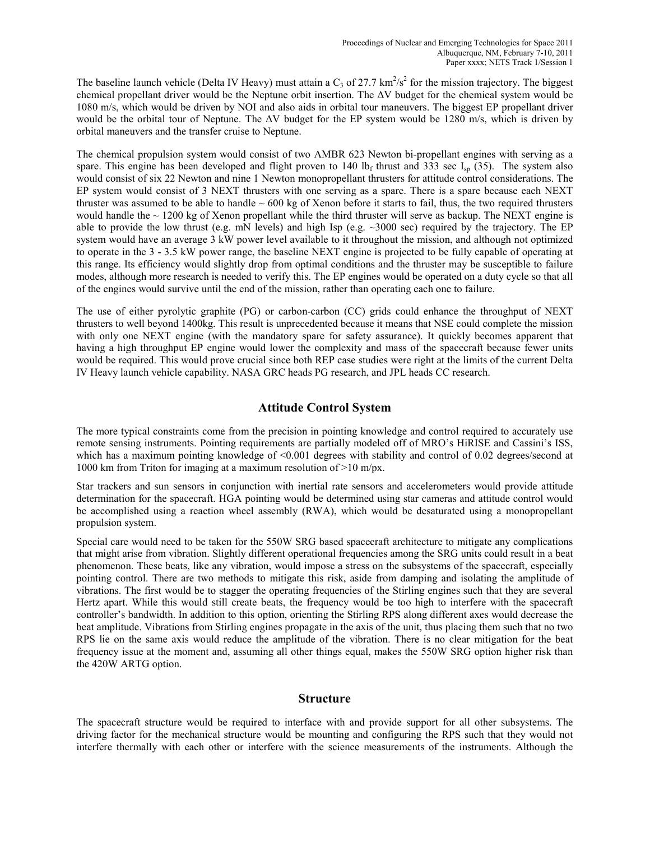The baseline launch vehicle (Delta IV Heavy) must attain a  $C_3$  of 27.7 km<sup>2</sup>/s<sup>2</sup> for the mission trajectory. The biggest chemical propellant driver would be the Neptune orbit insertion. The ΔV budget for the chemical system would be 1080 m/s, which would be driven by NOI and also aids in orbital tour maneuvers. The biggest EP propellant driver would be the orbital tour of Neptune. The  $\Delta V$  budget for the EP system would be 1280 m/s, which is driven by orbital maneuvers and the transfer cruise to Neptune.

The chemical propulsion system would consist of two AMBR 623 Newton bi-propellant engines with serving as a spare. This engine has been developed and flight proven to 140 lb<sub>f</sub> thrust and 333 sec I<sub>sp</sub> (35). The system also would consist of six 22 Newton and nine 1 Newton monopropellant thrusters for attitude control considerations. The EP system would consist of 3 NEXT thrusters with one serving as a spare. There is a spare because each NEXT thruster was assumed to be able to handle  $\sim 600$  kg of Xenon before it starts to fail, thus, the two required thrusters would handle the  $\sim$  1200 kg of Xenon propellant while the third thruster will serve as backup. The NEXT engine is able to provide the low thrust (e.g. mN levels) and high Isp (e.g.  $\sim 3000$  sec) required by the trajectory. The EP system would have an average 3 kW power level available to it throughout the mission, and although not optimized to operate in the 3 - 3.5 kW power range, the baseline NEXT engine is projected to be fully capable of operating at this range. Its efficiency would slightly drop from optimal conditions and the thruster may be susceptible to failure modes, although more research is needed to verify this. The EP engines would be operated on a duty cycle so that all of the engines would survive until the end of the mission, rather than operating each one to failure.

The use of either pyrolytic graphite (PG) or carbon-carbon (CC) grids could enhance the throughput of NEXT thrusters to well beyond 1400kg. This result is unprecedented because it means that NSE could complete the mission with only one NEXT engine (with the mandatory spare for safety assurance). It quickly becomes apparent that having a high throughput EP engine would lower the complexity and mass of the spacecraft because fewer units would be required. This would prove crucial since both REP case studies were right at the limits of the current Delta IV Heavy launch vehicle capability. NASA GRC heads PG research, and JPL heads CC research.

## **Attitude Control System**

The more typical constraints come from the precision in pointing knowledge and control required to accurately use remote sensing instruments. Pointing requirements are partially modeled off of MRO's HiRISE and Cassini's ISS, which has a maximum pointing knowledge of <0.001 degrees with stability and control of 0.02 degrees/second at 1000 km from Triton for imaging at a maximum resolution of >10 m/px.

Star trackers and sun sensors in conjunction with inertial rate sensors and accelerometers would provide attitude determination for the spacecraft. HGA pointing would be determined using star cameras and attitude control would be accomplished using a reaction wheel assembly (RWA), which would be desaturated using a monopropellant propulsion system.

Special care would need to be taken for the 550W SRG based spacecraft architecture to mitigate any complications that might arise from vibration. Slightly different operational frequencies among the SRG units could result in a beat phenomenon. These beats, like any vibration, would impose a stress on the subsystems of the spacecraft, especially pointing control. There are two methods to mitigate this risk, aside from damping and isolating the amplitude of vibrations. The first would be to stagger the operating frequencies of the Stirling engines such that they are several Hertz apart. While this would still create beats, the frequency would be too high to interfere with the spacecraft controller's bandwidth. In addition to this option, orienting the Stirling RPS along different axes would decrease the beat amplitude. Vibrations from Stirling engines propagate in the axis of the unit, thus placing them such that no two RPS lie on the same axis would reduce the amplitude of the vibration. There is no clear mitigation for the beat frequency issue at the moment and, assuming all other things equal, makes the 550W SRG option higher risk than the 420W ARTG option.

#### **Structure**

The spacecraft structure would be required to interface with and provide support for all other subsystems. The driving factor for the mechanical structure would be mounting and configuring the RPS such that they would not interfere thermally with each other or interfere with the science measurements of the instruments. Although the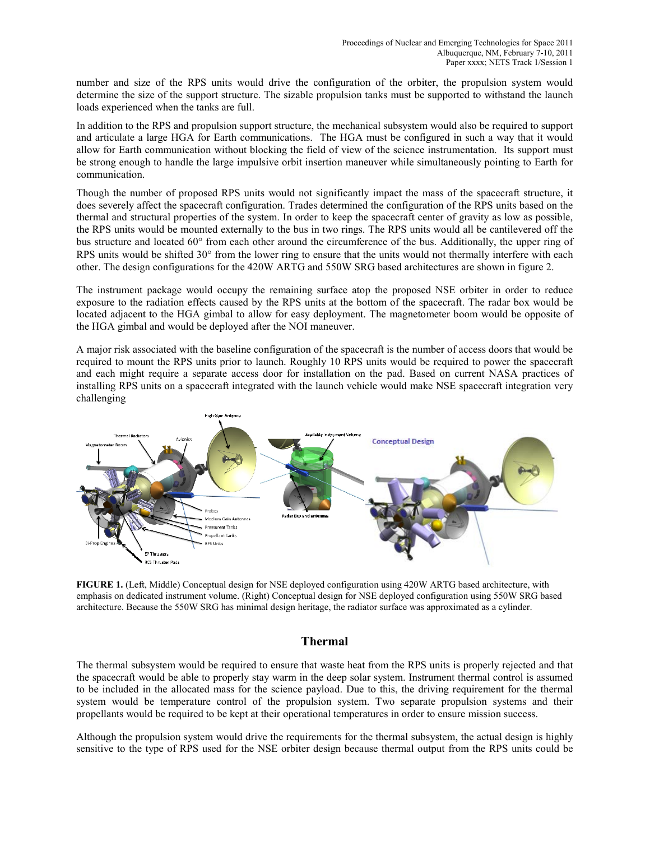number and size of the RPS units would drive the configuration of the orbiter, the propulsion system would determine the size of the support structure. The sizable propulsion tanks must be supported to withstand the launch loads experienced when the tanks are full.

In addition to the RPS and propulsion support structure, the mechanical subsystem would also be required to support and articulate a large HGA for Earth communications. The HGA must be configured in such a way that it would allow for Earth communication without blocking the field of view of the science instrumentation. Its support must be strong enough to handle the large impulsive orbit insertion maneuver while simultaneously pointing to Earth for communication.

Though the number of proposed RPS units would not significantly impact the mass of the spacecraft structure, it does severely affect the spacecraft configuration. Trades determined the configuration of the RPS units based on the thermal and structural properties of the system. In order to keep the spacecraft center of gravity as low as possible, the RPS units would be mounted externally to the bus in two rings. The RPS units would all be cantilevered off the bus structure and located 60° from each other around the circumference of the bus. Additionally, the upper ring of RPS units would be shifted 30° from the lower ring to ensure that the units would not thermally interfere with each other. The design configurations for the 420W ARTG and 550W SRG based architectures are shown in figure 2.

The instrument package would occupy the remaining surface atop the proposed NSE orbiter in order to reduce exposure to the radiation effects caused by the RPS units at the bottom of the spacecraft. The radar box would be located adjacent to the HGA gimbal to allow for easy deployment. The magnetometer boom would be opposite of the HGA gimbal and would be deployed after the NOI maneuver.

A major risk associated with the baseline configuration of the spacecraft is the number of access doors that would be required to mount the RPS units prior to launch. Roughly 10 RPS units would be required to power the spacecraft and each might require a separate access door for installation on the pad. Based on current NASA practices of installing RPS units on a spacecraft integrated with the launch vehicle would make NSE spacecraft integration very challenging



**FIGURE 1.** (Left, Middle) Conceptual design for NSE deployed configuration using 420W ARTG based architecture, with emphasis on dedicated instrument volume. (Right) Conceptual design for NSE deployed configuration using 550W SRG based architecture. Because the 550W SRG has minimal design heritage, the radiator surface was approximated as a cylinder.

## **Thermal**

The thermal subsystem would be required to ensure that waste heat from the RPS units is properly rejected and that the spacecraft would be able to properly stay warm in the deep solar system. Instrument thermal control is assumed to be included in the allocated mass for the science payload. Due to this, the driving requirement for the thermal system would be temperature control of the propulsion system. Two separate propulsion systems and their propellants would be required to be kept at their operational temperatures in order to ensure mission success.

Although the propulsion system would drive the requirements for the thermal subsystem, the actual design is highly sensitive to the type of RPS used for the NSE orbiter design because thermal output from the RPS units could be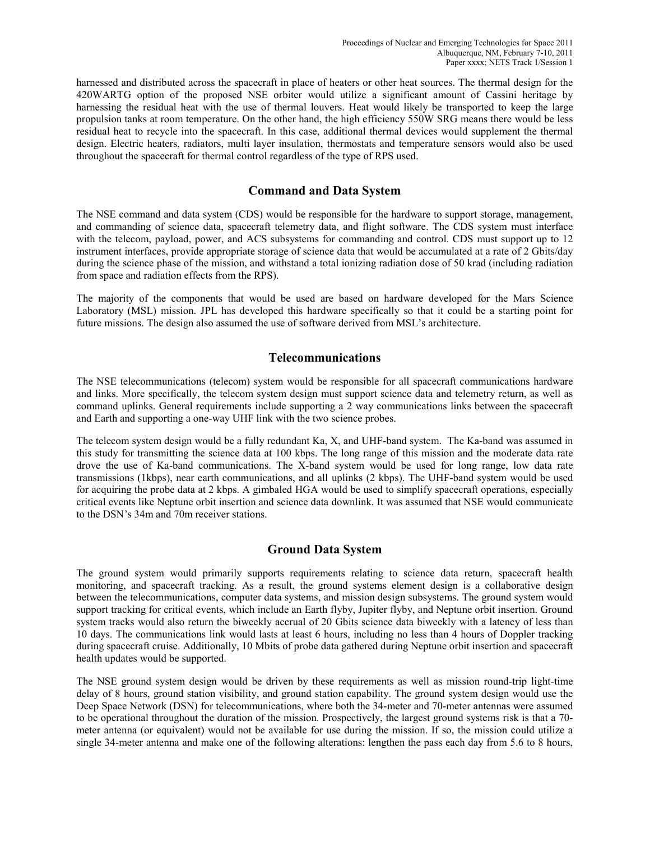harnessed and distributed across the spacecraft in place of heaters or other heat sources. The thermal design for the 420WARTG option of the proposed NSE orbiter would utilize a significant amount of Cassini heritage by harnessing the residual heat with the use of thermal louvers. Heat would likely be transported to keep the large propulsion tanks at room temperature. On the other hand, the high efficiency 550W SRG means there would be less residual heat to recycle into the spacecraft. In this case, additional thermal devices would supplement the thermal design. Electric heaters, radiators, multi layer insulation, thermostats and temperature sensors would also be used throughout the spacecraft for thermal control regardless of the type of RPS used.

# **Command and Data System**

The NSE command and data system (CDS) would be responsible for the hardware to support storage, management, and commanding of science data, spacecraft telemetry data, and flight software. The CDS system must interface with the telecom, payload, power, and ACS subsystems for commanding and control. CDS must support up to 12 instrument interfaces, provide appropriate storage of science data that would be accumulated at a rate of 2 Gbits/day during the science phase of the mission, and withstand a total ionizing radiation dose of 50 krad (including radiation from space and radiation effects from the RPS).

The majority of the components that would be used are based on hardware developed for the Mars Science Laboratory (MSL) mission. JPL has developed this hardware specifically so that it could be a starting point for future missions. The design also assumed the use of software derived from MSL's architecture.

# **Telecommunications**

The NSE telecommunications (telecom) system would be responsible for all spacecraft communications hardware and links. More specifically, the telecom system design must support science data and telemetry return, as well as command uplinks. General requirements include supporting a 2 way communications links between the spacecraft and Earth and supporting a one-way UHF link with the two science probes.

The telecom system design would be a fully redundant Ka, X, and UHF-band system. The Ka-band was assumed in this study for transmitting the science data at 100 kbps. The long range of this mission and the moderate data rate drove the use of Ka-band communications. The X-band system would be used for long range, low data rate transmissions (1kbps), near earth communications, and all uplinks (2 kbps). The UHF-band system would be used for acquiring the probe data at 2 kbps. A gimbaled HGA would be used to simplify spacecraft operations, especially critical events like Neptune orbit insertion and science data downlink. It was assumed that NSE would communicate to the DSN's 34m and 70m receiver stations.

# **Ground Data System**

The ground system would primarily supports requirements relating to science data return, spacecraft health monitoring, and spacecraft tracking. As a result, the ground systems element design is a collaborative design between the telecommunications, computer data systems, and mission design subsystems. The ground system would support tracking for critical events, which include an Earth flyby, Jupiter flyby, and Neptune orbit insertion. Ground system tracks would also return the biweekly accrual of 20 Gbits science data biweekly with a latency of less than 10 days. The communications link would lasts at least 6 hours, including no less than 4 hours of Doppler tracking during spacecraft cruise. Additionally, 10 Mbits of probe data gathered during Neptune orbit insertion and spacecraft health updates would be supported.

The NSE ground system design would be driven by these requirements as well as mission round-trip light-time delay of 8 hours, ground station visibility, and ground station capability. The ground system design would use the Deep Space Network (DSN) for telecommunications, where both the 34-meter and 70-meter antennas were assumed to be operational throughout the duration of the mission. Prospectively, the largest ground systems risk is that a 70 meter antenna (or equivalent) would not be available for use during the mission. If so, the mission could utilize a single 34-meter antenna and make one of the following alterations: lengthen the pass each day from 5.6 to 8 hours,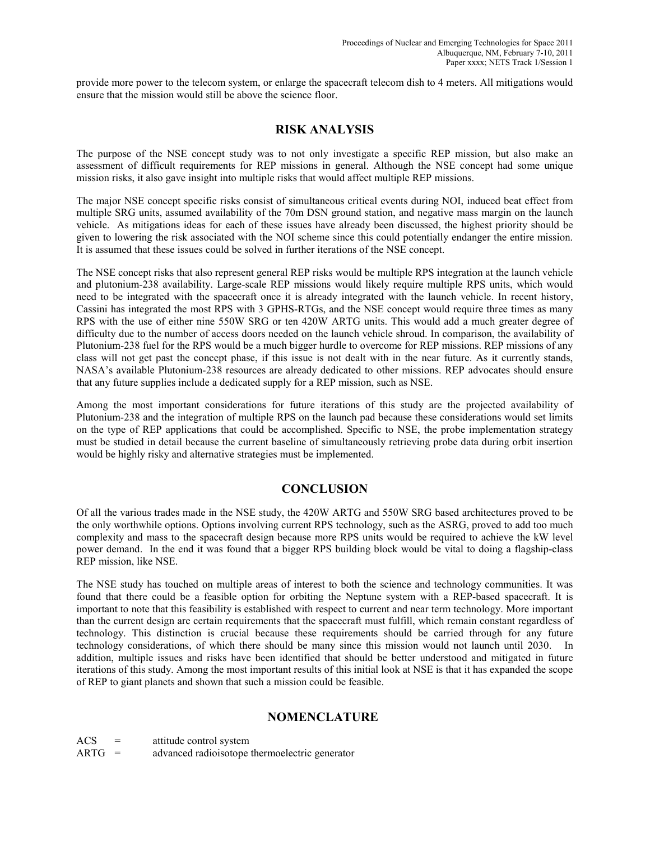provide more power to the telecom system, or enlarge the spacecraft telecom dish to 4 meters. All mitigations would ensure that the mission would still be above the science floor.

# **RISK ANALYSIS**

The purpose of the NSE concept study was to not only investigate a specific REP mission, but also make an assessment of difficult requirements for REP missions in general. Although the NSE concept had some unique mission risks, it also gave insight into multiple risks that would affect multiple REP missions.

The major NSE concept specific risks consist of simultaneous critical events during NOI, induced beat effect from multiple SRG units, assumed availability of the 70m DSN ground station, and negative mass margin on the launch vehicle. As mitigations ideas for each of these issues have already been discussed, the highest priority should be given to lowering the risk associated with the NOI scheme since this could potentially endanger the entire mission. It is assumed that these issues could be solved in further iterations of the NSE concept.

The NSE concept risks that also represent general REP risks would be multiple RPS integration at the launch vehicle and plutonium-238 availability. Large-scale REP missions would likely require multiple RPS units, which would need to be integrated with the spacecraft once it is already integrated with the launch vehicle. In recent history, Cassini has integrated the most RPS with 3 GPHS-RTGs, and the NSE concept would require three times as many RPS with the use of either nine 550W SRG or ten 420W ARTG units. This would add a much greater degree of difficulty due to the number of access doors needed on the launch vehicle shroud. In comparison, the availability of Plutonium-238 fuel for the RPS would be a much bigger hurdle to overcome for REP missions. REP missions of any class will not get past the concept phase, if this issue is not dealt with in the near future. As it currently stands, NASA's available Plutonium-238 resources are already dedicated to other missions. REP advocates should ensure that any future supplies include a dedicated supply for a REP mission, such as NSE.

Among the most important considerations for future iterations of this study are the projected availability of Plutonium-238 and the integration of multiple RPS on the launch pad because these considerations would set limits on the type of REP applications that could be accomplished. Specific to NSE, the probe implementation strategy must be studied in detail because the current baseline of simultaneously retrieving probe data during orbit insertion would be highly risky and alternative strategies must be implemented.

# **CONCLUSION**

Of all the various trades made in the NSE study, the 420W ARTG and 550W SRG based architectures proved to be the only worthwhile options. Options involving current RPS technology, such as the ASRG, proved to add too much complexity and mass to the spacecraft design because more RPS units would be required to achieve the kW level power demand. In the end it was found that a bigger RPS building block would be vital to doing a flagship-class REP mission, like NSE.

The NSE study has touched on multiple areas of interest to both the science and technology communities. It was found that there could be a feasible option for orbiting the Neptune system with a REP-based spacecraft. It is important to note that this feasibility is established with respect to current and near term technology. More important than the current design are certain requirements that the spacecraft must fulfill, which remain constant regardless of technology. This distinction is crucial because these requirements should be carried through for any future technology considerations, of which there should be many since this mission would not launch until 2030. In addition, multiple issues and risks have been identified that should be better understood and mitigated in future iterations of this study. Among the most important results of this initial look at NSE is that it has expanded the scope of REP to giant planets and shown that such a mission could be feasible.

# **NOMENCLATURE**

| ACS | attitude control system |
|-----|-------------------------|
|-----|-------------------------|

ARTG = advanced radioisotope thermoelectric generator